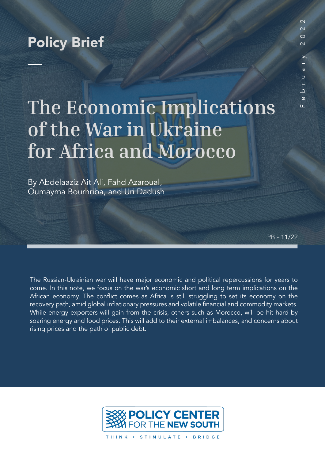## Policy Brief

# **The Economic Implications of the War in Ukraine for Africa and Morocco**

By Abdelaaziz Ait Ali, Fahd Azaroual, Oumayma Bourhriba, and Uri Dadush

PB - 11/22

The Russian-Ukrainian war will have major economic and political repercussions for years to come. In this note, we focus on the war's economic short and long term implications on the African economy. The conflict comes as Africa is still struggling to set its economy on the recovery path, amid global inflationary pressures and volatile financial and commodity markets. While energy exporters will gain from the crisis, others such as Morocco, will be hit hard by soaring energy and food prices. This will add to their external imbalances, and concerns about rising prices and the path of public debt.



THINK · STIMULATE · BRIDGE

 $\overline{\mathcal{C}}$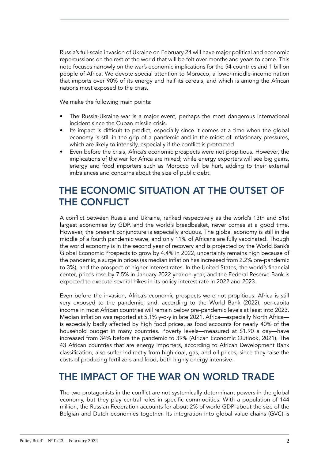Russia's full-scale invasion of Ukraine on February 24 will have major political and economic repercussions on the rest of the world that will be felt over months and years to come. This note focuses narrowly on the war's economic implications for the 54 countries and 1 billion people of Africa. We devote special attention to Morocco, a lower-middle-income nation that imports over 90% of its energy and half its cereals, and which is among the African nations most exposed to the crisis.

We make the following main points:

- The Russia-Ukraine war is a major event, perhaps the most dangerous international incident since the Cuban missile crisis.
- Its impact is difficult to predict, especially since it comes at a time when the global economy is still in the grip of a pandemic and in the midst of inflationary pressures, which are likely to intensify, especially if the conflict is protracted.
- Even before the crisis, Africa's economic prospects were not propitious. However, the implications of the war for Africa are mixed; while energy exporters will see big gains, energy and food importers such as Morocco will be hurt, adding to their external imbalances and concerns about the size of public debt.

### THE ECONOMIC SITUATION AT THE OUTSET OF THE CONFLICT

A conflict between Russia and Ukraine, ranked respectively as the world's 13th and 61st largest economies by GDP, and the world's breadbasket, never comes at a good time. However, the present conjuncture is especially arduous. The global economy is still in the middle of a fourth pandemic wave, and only 11% of Africans are fully vaccinated. Though the world economy is in the second year of recovery and is projected by the World Bank's Global Economic Prospects to grow by 4.4% in 2022, uncertainty remains high because of the pandemic, a surge in prices (as median inflation has increased from 2.2% pre-pandemic to 3%), and the prospect of higher interest rates. In the United States, the world's financial center, prices rose by 7.5% in January 2022 year-on-year, and the Federal Reserve Bank is expected to execute several hikes in its policy interest rate in 2022 and 2023.

Even before the invasion, Africa's economic prospects were not propitious. Africa is still very exposed to the pandemic, and, according to the World Bank (2022), per-capita income in most African countries will remain below pre-pandemic levels at least into 2023. Median inflation was reported at 5.1% y-o-y in late 2021. Africa—especially North Africa is especially badly affected by high food prices, as food accounts for nearly 40% of the household budget in many countries. Poverty levels—measured at \$1.90 a day—have increased from 34% before the pandemic to 39% (African Economic Outlook, 2021). The 43 African countries that are energy importers, according to African Development Bank classification, also suffer indirectly from high coal, gas, and oil prices, since they raise the costs of producing fertilizers and food, both highly energy intensive.

### THE IMPACT OF THE WAR ON WORLD TRADE

The two protagonists in the conflict are not systemically determinant powers in the global economy, but they play central roles in specific commodities. With a population of 144 million, the Russian Federation accounts for about 2% of world GDP, about the size of the Belgian and Dutch economies together. Its integration into global value chains (GVC) is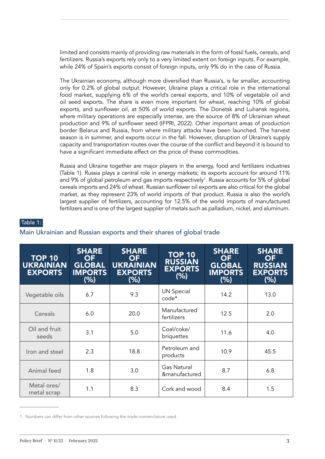limited and consists mainly of providing raw materials in the form of fossil fuels, cereals, and fertilizers. Russia's exports rely only to a very limited extent on foreign inputs. For example, while 24% of Spain's exports consist of foreign inputs, only 9% do in the case of Russia.

The Ukrainian economy, although more diversified than Russia's, is far smaller, accounting only for 0.2% of global output. However, Ukraine plays a critical role in the international food market, supplying 6% of the world's cereal exports, and 10% of vegetable oil and oil seed exports. The share is even more important for wheat, reaching 10% of global exports, and sunflower oil, at 50% of world exports. The Donetsk and Luhansk regions, where military operations are especially intense, are the source of 8% of Ukrainian wheat production and 9% of sunflower seed (IFPRI, 2022). Other important areas of production border Belarus and Russia, from where military attacks have been launched. The harvest season is in summer, and exports occur in the fall. However, disruption of Ukraine's supply capacity and transportation routes over the course of the conflict and beyond it is bound to have a significant immediate effect on the price of these commodities.

Russia and Ukraine together are major players in the energy, food and fertilizers industries (Table 1). Russia plays a central role in energy markets; its exports account for around 11% and 9% of global petroleum and gas imports respectively<sup>1</sup>. Russia accounts for 5% of global cereals imports and 24% of wheat. Russian sunflower oil exports are also critical for the global market, as they represent 23% of world imports of that product. Russia is also the world's largest supplier of fertilizers, accounting for 12.5% of the world imports of manufactured fertilizers and is one of the largest supplier of metals such as palladium, nickel, and aluminum.

#### Table 1:

#### Main Ukrainian and Russian exports and their shares of global trade

| <b>TOP 10</b><br><b>UKRAINIAN</b><br><b>EXPORTS</b> | <b>SHARE</b><br><b>OF</b><br><b>GLOBAL</b><br><b>IMPORTS</b><br>(% ) | <b>SHARE</b><br><b>OF</b><br><b>UKRAINIAN</b><br><b>EXPORTS</b><br>(% ) | <b>TOP 10</b><br><b>RUSSIAN</b><br><b>EXPORTS</b><br>(% ) | <b>SHARE</b><br><b>OF</b><br><b>GLOBAL</b><br><b>IMPORTS</b><br>(% ) | <b>SHARE</b><br><b>OF</b><br><b>RUSSIAN</b><br><b>EXPORTS</b><br>(% ) |
|-----------------------------------------------------|----------------------------------------------------------------------|-------------------------------------------------------------------------|-----------------------------------------------------------|----------------------------------------------------------------------|-----------------------------------------------------------------------|
| Vegetable oils                                      | 6.7                                                                  | 9.3                                                                     | <b>UN Special</b><br>code*                                | 14.2                                                                 | 13.0                                                                  |
| Cereals                                             | 6.0                                                                  | 20.0                                                                    | Manufactured<br>fertilizers                               | 12.5                                                                 | 2.0                                                                   |
| Oil and fruit<br>seeds                              | 3.1                                                                  | 5.0                                                                     | Coal/coke/<br>briquettes                                  | 11.6                                                                 | 4.0                                                                   |
| Iron and steel                                      | 2.3                                                                  | 18.8                                                                    | Petroleum and<br>products                                 | 10.9                                                                 | 45.5                                                                  |
| Animal feed                                         | 1.8                                                                  | 3.0                                                                     | <b>Gas Natural</b><br>&manufactured                       | 8.7                                                                  | 6.8                                                                   |
| Metal ores/<br>metal scrap                          | 1.1                                                                  | 8.3                                                                     | Cork and wood                                             | 8.4                                                                  | 1.5                                                                   |

<sup>1.</sup> Numbers can differ from other sources following the trade nomenclature used.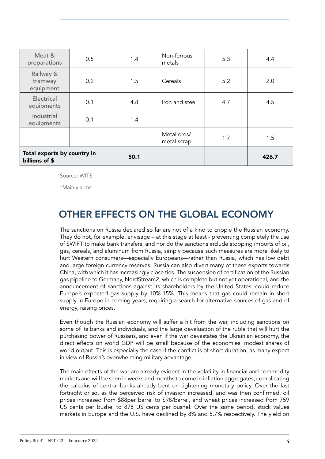| Meat &<br>preparations                        | 0.5 | 1.4  | Non-ferrous<br>metals      | 5.3 | 4.4   |
|-----------------------------------------------|-----|------|----------------------------|-----|-------|
| Railway &<br>tramway<br>equipment             | 0.2 | 1.5  | Cereals                    | 5.2 | 2.0   |
| Electrical<br>equipments                      | 0.1 | 4.8  | Iron and steel             | 4.7 | 4.5   |
| Industrial<br>equipments                      | 0.1 | 1.4  |                            |     |       |
|                                               |     |      | Metal ores/<br>metal scrap | 1.7 | 1.5   |
| Total exports by country in<br>billions of \$ |     | 50.1 |                            |     | 426.7 |

Source: WITS

\*Mainly arms

### OTHER EFFECTS ON THE GLOBAL ECONOMY

The sanctions on Russia declared so far are not of a kind to cripple the Russian economy. They do not, for example, envisage – at this stage at least - preventing completely the use of SWIFT to make bank transfers, and nor do the sanctions include stopping imports of oil, gas, cereals, and aluminum from Russia, simply because such measures are more likely to hurt Western consumers—especially Europeans—rather than Russia, which has low debt and large foreign currency reserves. Russia can also divert many of these exports towards China, with which it has increasingly close ties. The suspension of certification of the Russian gas pipeline to Germany, NordStream2, which is complete but not yet operational, and the announcement of sanctions against its shareholders by the United States, could reduce Europe's expected gas supply by 10%-15%. This means that gas could remain in short supply in Europe in coming years, requiring a search for alternative sources of gas and of energy, raising prices.

Even though the Russian economy will suffer a hit from the war, including sanctions on some of its banks and individuals, and the large devaluation of the ruble that will hurt the purchasing power of Russians, and even if the war devastates the Ukrainian economy, the direct effects on world GDP will be small because of the economies' modest shares of world output. This is especially the case if the conflict is of short duration, as many expect in view of Russia's overwhelming military advantage.

The main effects of the war are already evident in the volatility in financial and commodity markets and will be seen in weeks and months to come in inflation aggregates, complicating the calculus of central banks already bent on tightening monetary policy. Over the last fortnight or so, as the perceived risk of invasion increased, and was then confirmed, oil prices increased from \$88per barrel to \$98/barrel, and wheat prices increased from 759 US cents per bushel to 878 US cents per bushel. Over the same period, stock values markets in Europe and the U.S. have declined by 8% and 5.7% respectively. The yield on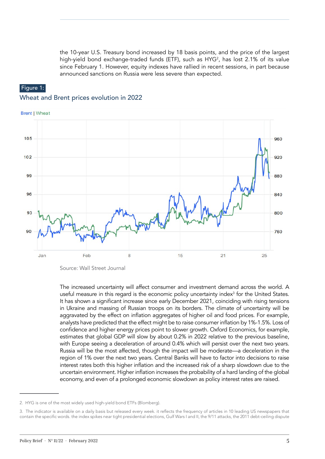the 10-year U.S. Treasury bond increased by 18 basis points, and the price of the largest high-yield bond exchange-traded funds (ETF), such as HYG<sup>2</sup> , has lost 2.1% of its value since February 1. However, equity indexes have rallied in recent sessions, in part because announced sanctions on Russia were less severe than expected.

#### Figure 1: Wheat and Brent prices evolution in 2022



Source: Wall Street Journal

The increased uncertainty will affect consumer and investment demand across the world. A useful measure in this regard is the economic policy uncertainty index<sup>3</sup> for the United States. It has shown a significant increase since early December 2021, coinciding with rising tensions in Ukraine and massing of Russian troops on its borders. The climate of uncertainty will be aggravated by the effect on inflation aggregates of higher oil and food prices. For example, analysts have predicted that the effect might be to raise consumer inflation by 1%-1.5%. Loss of confidence and higher energy prices point to slower growth. Oxford Economics, for example, estimates that global GDP will slow by about 0.2% in 2022 relative to the previous baseline, with Europe seeing a deceleration of around 0.4% which will persist over the next two years. Russia will be the most affected, though the impact will be moderate—a deceleration in the region of 1% over the next two years. Central Banks will have to factor into decisions to raise interest rates both this higher inflation and the increased risk of a sharp slowdown due to the uncertain environment. Higher inflation increases the probability of a hard landing of the global economy, and even of a prolonged economic slowdown as policy interest rates are raised.

<sup>2.</sup> HYG is one of the most widely used high-yield bond ETFs (Blomberg).

<sup>3.</sup> The indicator is available on a daily basis but released every week. it reflects the frequency of articles in 10 leading US newspapers that contain the specific words. the index spikes near tight presidential elections, Gulf Wars I and II, the 9/11 attacks, the 2011 debt-ceiling dispute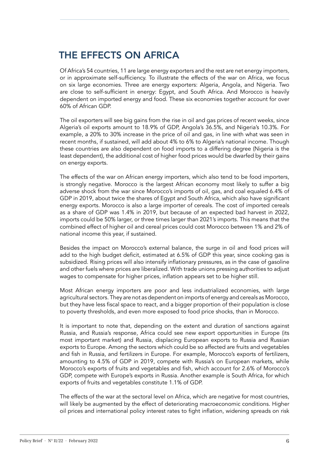### THE EFFECTS ON AFRICA

Of Africa's 54 countries, 11 are large energy exporters and the rest are net energy importers, or in approximate self-sufficiency. To illustrate the effects of the war on Africa, we focus on six large economies. Three are energy exporters: Algeria, Angola, and Nigeria. Two are close to self-sufficient in energy: Egypt, and South Africa. And Morocco is heavily dependent on imported energy and food. These six economies together account for over 60% of African GDP.

The oil exporters will see big gains from the rise in oil and gas prices of recent weeks, since Algeria's oil exports amount to 18.9% of GDP, Angola's 36.5%, and Nigeria's 10.3%. For example, a 20% to 30% increase in the price of oil and gas, in line with what was seen in recent months, if sustained, will add about 4% to 6% to Algeria's national income. Though these countries are also dependent on food imports to a differing degree (Nigeria is the least dependent), the additional cost of higher food prices would be dwarfed by their gains on energy exports.

The effects of the war on African energy importers, which also tend to be food importers, is strongly negative. Morocco is the largest African economy most likely to suffer a big adverse shock from the war since Morocco's imports of oil, gas, and coal equaled 6.4% of GDP in 2019, about twice the shares of Egypt and South Africa, which also have significant energy exports. Morocco is also a large importer of cereals. The cost of imported cereals as a share of GDP was 1.4% in 2019, but because of an expected bad harvest in 2022, imports could be 50% larger, or three times larger than 2021's imports. This means that the combined effect of higher oil and cereal prices could cost Morocco between 1% and 2% of national income this year, if sustained.

Besides the impact on Morocco's external balance, the surge in oil and food prices will add to the high budget deficit, estimated at 6.5% of GDP this year, since cooking gas is subsidized. Rising prices will also intensify inflationary pressures, as in the case of gasoline and other fuels where prices are liberalized. With trade unions pressing authorities to adjust wages to compensate for higher prices, inflation appears set to be higher still.

Most African energy importers are poor and less industrialized economies, with large agricultural sectors. They are not as dependent on imports of energy and cereals as Morocco, but they have less fiscal space to react, and a bigger proportion of their population is close to poverty thresholds, and even more exposed to food price shocks, than in Morocco.

It is important to note that, depending on the extent and duration of sanctions against Russia, and Russia's response, Africa could see new export opportunities in Europe (its most important market) and Russia, displacing European exports to Russia and Russian exports to Europe. Among the sectors which could be so affected are fruits and vegetables and fish in Russia, and fertilizers in Europe. For example, Morocco's exports of fertilizers, amounting to 4.5% of GDP in 2019, compete with Russia's on European markets, while Morocco's exports of fruits and vegetables and fish, which account for 2.6% of Morocco's GDP, compete with Europe's exports in Russia. Another example is South Africa, for which exports of fruits and vegetables constitute 1.1% of GDP.

The effects of the war at the sectoral level on Africa, which are negative for most countries, will likely be augmented by the effect of deteriorating macroeconomic conditions. Higher oil prices and international policy interest rates to fight inflation, widening spreads on risk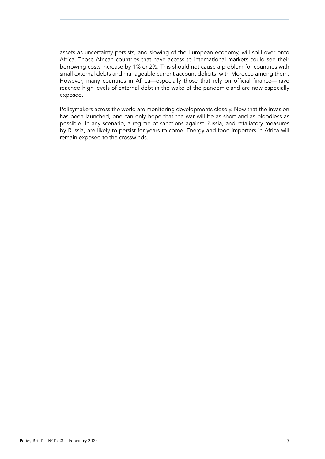assets as uncertainty persists, and slowing of the European economy, will spill over onto Africa. Those African countries that have access to international markets could see their borrowing costs increase by 1% or 2%. This should not cause a problem for countries with small external debts and manageable current account deficits, with Morocco among them. However, many countries in Africa—especially those that rely on official finance—have reached high levels of external debt in the wake of the pandemic and are now especially exposed.

Policymakers across the world are monitoring developments closely. Now that the invasion has been launched, one can only hope that the war will be as short and as bloodless as possible. In any scenario, a regime of sanctions against Russia, and retaliatory measures by Russia, are likely to persist for years to come. Energy and food importers in Africa will remain exposed to the crosswinds.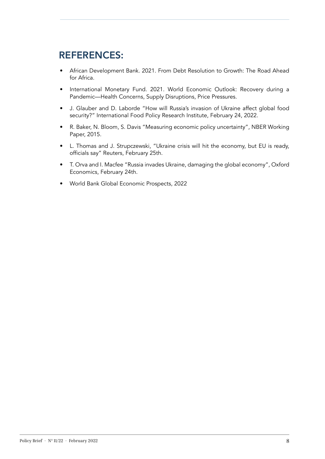### REFERENCES:

- African Development Bank. 2021. From Debt Resolution to Growth: The Road Ahead for Africa.
- International Monetary Fund. 2021. World Economic Outlook: Recovery during a Pandemic—Health Concerns, Supply Disruptions, Price Pressures.
- J. Glauber and D. Laborde "How will Russia's invasion of Ukraine affect global food security?" International Food Policy Research Institute, February 24, 2022.
- R. Baker, N. Bloom, S. Davis "Measuring economic policy uncertainty", NBER Working Paper, 2015.
- [L. Thomas](https://www.reuters.com/authors/leigh-thomas/) and [J. Strupczewski,](https://www.reuters.com/authors/jan-strupczewski/) "Ukraine crisis will hit the economy, but EU is ready, officials say" Reuters, February 25th.
- T. Orva and I. Macfee "Russia invades Ukraine, damaging the global economy", Oxford Economics, February 24th.
- World Bank Global Economic Prospects, 2022